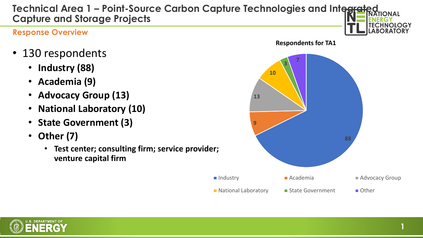## **Technical Area 1 – Point-Source Carbon Capture Technologies and Integrated Capture and Storage Projects**

#### **Response Overview**

- 130 respondents
	- **Industry (88)**
	- **Academia (9)**
	- **Advocacy Group (13)**
	- **National Laboratory (10)**
	- **State Government (3)**
	- **Other (7)**
		- **Test center; consulting firm; service provider; venture capital firm**



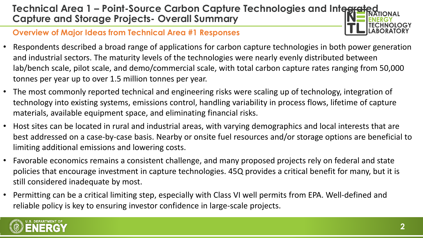# **Technical Area 1 – Point-Source Carbon Capture Technologies and Integrate Capture and Storage Projects- Overall Summary**

#### **Overview of Major Ideas from Technical Area #1 Responses**

- Respondents described a broad range of applications for carbon capture technologies in both power generation and industrial sectors. The maturity levels of the technologies were nearly evenly distributed between lab/bench scale, pilot scale, and demo/commercial scale, with total carbon capture rates ranging from 50,000 tonnes per year up to over 1.5 million tonnes per year.
- The most commonly reported technical and engineering risks were scaling up of technology, integration of technology into existing systems, emissions control, handling variability in process flows, lifetime of capture materials, available equipment space, and eliminating financial risks.
- Host sites can be located in rural and industrial areas, with varying demographics and local interests that are best addressed on a case-by-case basis. Nearby or onsite fuel resources and/or storage options are beneficial to limiting additional emissions and lowering costs.
- Favorable economics remains a consistent challenge, and many proposed projects rely on federal and state policies that encourage investment in capture technologies. 45Q provides a critical benefit for many, but it is still considered inadequate by most.
- Permitting can be a critical limiting step, especially with Class VI well permits from EPA. Well-defined and reliable policy is key to ensuring investor confidence in large-scale projects.

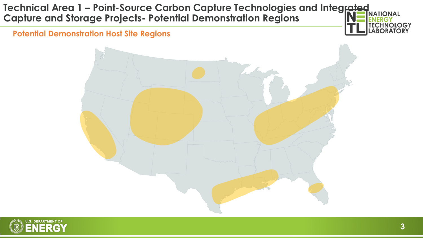### **Technical Area 1 – Point-Source Carbon Capture Technologies and Integrated MATIONAL Capture and Storage Projects- Potential Demonstration Regions**

**Potential Demonstration Host Site Regions**





**HNOLOGY RATORY**